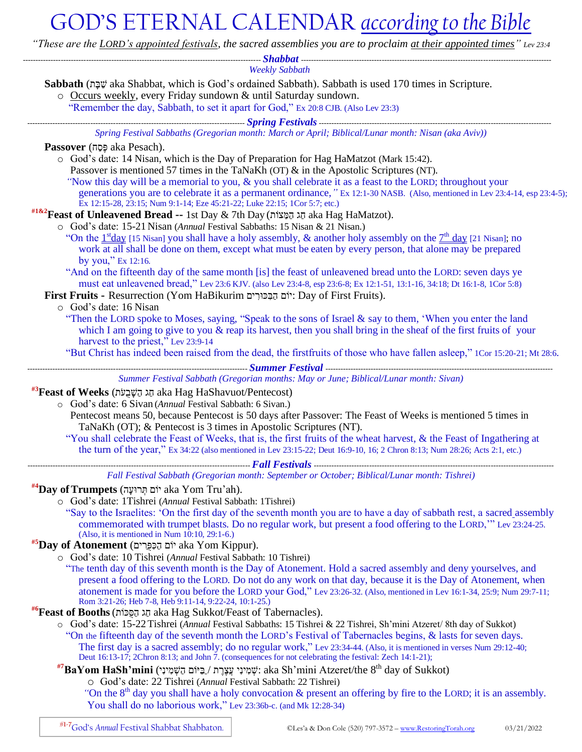## GOD'S ETERNAL CALENDAR *according to the Bible*

*"These are the LORD's appointed festivals, the sacred assemblies you are to proclaim at their appointed times" Lev 23:4*

| <b>Weekly Sabbath</b>                                                                                                                                                                                                                  |
|----------------------------------------------------------------------------------------------------------------------------------------------------------------------------------------------------------------------------------------|
| Sabbath (הַבָּת aka Shabbat, which is God's ordained Sabbath). Sabbath is used 170 times in Scripture.                                                                                                                                 |
| o Occurs weekly, every Friday sundown & until Saturday sundown.                                                                                                                                                                        |
| "Remember the day, Sabbath, to set it apart for God," Ex 20:8 CJB. (Also Lev 23:3)                                                                                                                                                     |
| <u>spring Festivals communications communications and the settlement of the settlement of the settlement of the s</u>                                                                                                                  |
| Spring Festival Sabbaths (Gregorian month: March or April; Biblical/Lunar month: Nisan (aka Aviv))                                                                                                                                     |
| Passover (פּסָה aka Pesach).                                                                                                                                                                                                           |
| o God's date: 14 Nisan, which is the Day of Preparation for Hag HaMatzot (Mark 15:42).                                                                                                                                                 |
| Passover is mentioned 57 times in the TaNaKh (OT) $\&$ in the Apostolic Scriptures (NT).                                                                                                                                               |
| "Now this day will be a memorial to you, & you shall celebrate it as a feast to the LORD; throughout your                                                                                                                              |
| generations you are to celebrate it as a permanent ordinance, "Ex 12:1-30 NASB. (Also, mentioned in Lev 23:4-14, esp 23:4-5);<br>Ex 12:15-28, 23:15; Num 9:1-14; Eze 45:21-22; Luke 22:15; 1Cor 5:7; etc.)                             |
| ה aka Hag HaMatzot). הַמֲצוֹת aka Hag HaMatzot).                                                                                                                                                                                       |
| o God's date: 15-21 Nisan (Annual Festival Sabbaths: 15 Nisan & 21 Nisan.)                                                                                                                                                             |
| "On the $1stday$ [15 Nisan] you shall have a holy assembly, & another holy assembly on the $7thday$ [21 Nisan]; no                                                                                                                     |
| work at all shall be done on them, except what must be eaten by every person, that alone may be prepared                                                                                                                               |
| by you," Ex 12:16.                                                                                                                                                                                                                     |
| "And on the fifteenth day of the same month [is] the feast of unleavened bread unto the LORD: seven days ye                                                                                                                            |
| must eat unleavened bread," Lev 23:6 KJV. (also Lev 23:4-8, esp 23:6-8; Ex 12:1-51, 13:1-16, 34:18; Dt 16:1-8, 1Cor 5:8)                                                                                                               |
| First Fruits - Resurrection (Yom HaBikurim יוֹם הַבְּכּוּרִים: Day of First Fruits).<br>o God's date: 16 Nisan                                                                                                                         |
| "Then the LORD spoke to Moses, saying, "Speak to the sons of Israel & say to them, 'When you enter the land                                                                                                                            |
| which I am going to give to you & reap its harvest, then you shall bring in the sheaf of the first fruits of your                                                                                                                      |
| harvest to the priest," Lev 23:9-14                                                                                                                                                                                                    |
| "But Christ has indeed been raised from the dead, the firstfruits of those who have fallen asleep," 1Cor 15:20-21; Mt 28:6.                                                                                                            |
|                                                                                                                                                                                                                                        |
| Summer Festival Sabbath (Gregorian months: May or June; Biblical/Lunar month: Sivan)                                                                                                                                                   |
| aka Hag HaShavuot/Pentecost) הַג הַשֶּׁבָעֹת aka Hag HaShavuot/Pentecost)                                                                                                                                                              |
| o God's date: 6 Sivan (Annual Festival Sabbath: 6 Sivan.)                                                                                                                                                                              |
| Pentecost means 50, because Pentecost is 50 days after Passover: The Feast of Weeks is mentioned 5 times in                                                                                                                            |
| TaNaKh (OT); & Pentecost is 3 times in Apostolic Scriptures (NT).                                                                                                                                                                      |
| "You shall celebrate the Feast of Weeks, that is, the first fruits of the wheat harvest, & the Feast of Ingathering at                                                                                                                 |
| the turn of the year," Ex 34:22 (also mentioned in Lev 23:15-22; Deut 16:9-10, 16; 2 Chron 8:13; Num 28:26; Acts 2:1, etc.)                                                                                                            |
|                                                                                                                                                                                                                                        |
| Fall Festival Sabbath (Gregorian month: September or October; Biblical/Lunar month: Tishrei)                                                                                                                                           |
| <sup>#4</sup> <b>Day of Trumpets</b> (תְּרוּעָה aka Yom Tru'ah).                                                                                                                                                                       |
| o God's date: 1Tishrei (Annual Festival Sabbath: 1Tishrei)                                                                                                                                                                             |
| "Say to the Israelites: 'On the first day of the seventh month you are to have a day of sabbath rest, a sacred assembly                                                                                                                |
| commemorated with trumpet blasts. Do no regular work, but present a food offering to the LORD," Lev 23:24-25.<br>(Also, it is mentioned in Num $10:10$ , 29:1-6.)                                                                      |
| #5 <b>Day of Atonement</b> (יוֹם הַכִּפְּרִים aka Yom Kippur).                                                                                                                                                                         |
| o God's date: 10 Tishrei (Annual Festival Sabbath: 10 Tishrei)                                                                                                                                                                         |
| "The tenth day of this seventh month is the Day of Atonement. Hold a sacred assembly and deny yourselves, and                                                                                                                          |
| present a food offering to the LORD. Do not do any work on that day, because it is the Day of Atonement, when                                                                                                                          |
| atonement is made for you before the LORD your God," Lev 23:26-32. (Also, mentioned in Lev 16:1-34, 25:9; Num 29:7-11;                                                                                                                 |
| Rom 3:21-26; Heb 7-8, Heb 9:11-14, 9:22-24, 10:1-25.)                                                                                                                                                                                  |
| <sup>#6</sup> Feast of Booths (הַפְּכוֹת aka Hag Sukkot/Feast of Tabernacles).                                                                                                                                                         |
| o God's date: 15-22 Tishrei (Annual Festival Sabbaths: 15 Tishrei & 22 Tishrei, Sh'mini Atzeret/ 8th day of Sukkot)                                                                                                                    |
| "On the fifteenth day of the seventh month the LORD's Festival of Tabernacles begins, & lasts for seven days.<br>The first day is a sacred assembly; do no regular work," Lev 23:34-44. (Also, it is mentioned in verses Num 29:12-40; |
| Deut $16:13-17$ ; 2Chron 8:13; and John 7. (consequences for not celebrating the festival: Zech 14:1-21);                                                                                                                              |
| $\overline{a}$ שְמִינִי עֲצֶרֵת / בַּיּוֹם הַשָּׁמִינִי aka Sh'mini Atzeret/the 8 <sup>th</sup> day of Sukkot)                                                                                                                         |

o God's date: 22 Tishrei (*Annual* Festival Sabbath: 22 Tishrei)

*"*On the 8<sup>th</sup> day you shall have a holy convocation & present an offering by fire to the LORD; it is an assembly. You shall do no laborious work," Lev 23:36b-c. (and Mk 12:28-34)